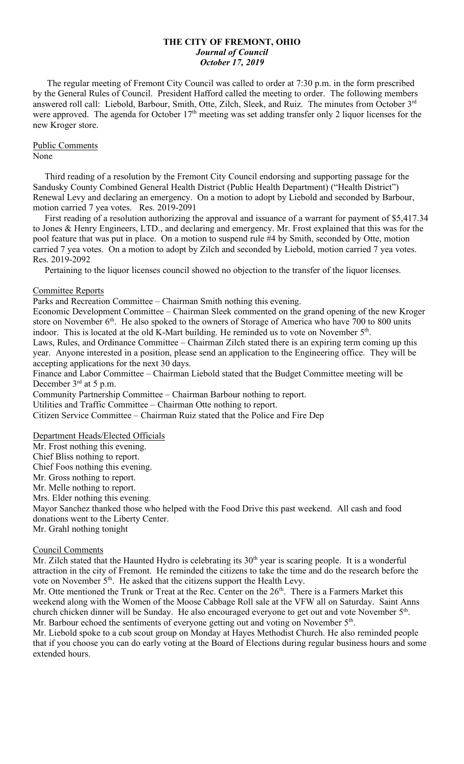### **THE CITY OF FREMONT, OHIO** *Journal of Council October 17, 2019*

 The regular meeting of Fremont City Council was called to order at 7:30 p.m. in the form prescribed by the General Rules of Council. President Hafford called the meeting to order. The following members answered roll call: Liebold, Barbour, Smith, Otte, Zilch, Sleek, and Ruiz. The minutes from October 3rd were approved. The agenda for October 17<sup>th</sup> meeting was set adding transfer only 2 liquor licenses for the new Kroger store.

# Public Comments

#### None

 Third reading of a resolution by the Fremont City Council endorsing and supporting passage for the Sandusky County Combined General Health District (Public Health Department) ("Health District") Renewal Levy and declaring an emergency. On a motion to adopt by Liebold and seconded by Barbour, motion carried 7 yea votes. Res. 2019-2091

 First reading of a resolution authorizing the approval and issuance of a warrant for payment of \$5,417.34 to Jones & Henry Engineers, LTD., and declaring and emergency. Mr. Frost explained that this was for the pool feature that was put in place. On a motion to suspend rule #4 by Smith, seconded by Otte, motion carried 7 yea votes. On a motion to adopt by Zilch and seconded by Liebold, motion carried 7 yea votes. Res. 2019-2092

Pertaining to the liquor licenses council showed no objection to the transfer of the liquor licenses.

### Committee Reports

Parks and Recreation Committee – Chairman Smith nothing this evening.

Economic Development Committee – Chairman Sleek commented on the grand opening of the new Kroger store on November  $6<sup>th</sup>$ . He also spoked to the owners of Storage of America who have 700 to 800 units indoor. This is located at the old K-Mart building. He reminded us to vote on November 5<sup>th</sup>.

Laws, Rules, and Ordinance Committee – Chairman Zilch stated there is an expiring term coming up this year. Anyone interested in a position, please send an application to the Engineering office. They will be accepting applications for the next 30 days.

Finance and Labor Committee – Chairman Liebold stated that the Budget Committee meeting will be December 3<sup>rd</sup> at 5 p.m.

Community Partnership Committee – Chairman Barbour nothing to report.

Utilities and Traffic Committee – Chairman Otte nothing to report.

Citizen Service Committee – Chairman Ruiz stated that the Police and Fire Dep

## Department Heads/Elected Officials

Mr. Frost nothing this evening. Chief Bliss nothing to report. Chief Foos nothing this evening. Mr. Gross nothing to report. Mr. Melle nothing to report. Mrs. Elder nothing this evening. Mayor Sanchez thanked those who helped with the Food Drive this past weekend. All cash and food donations went to the Liberty Center. Mr. Grahl nothing tonight

### Council Comments

Mr. Zilch stated that the Haunted Hydro is celebrating its  $30<sup>th</sup>$  year is scaring people. It is a wonderful attraction in the city of Fremont. He reminded the citizens to take the time and do the research before the vote on November 5<sup>th</sup>. He asked that the citizens support the Health Levy.

Mr. Otte mentioned the Trunk or Treat at the Rec. Center on the  $26<sup>th</sup>$ . There is a Farmers Market this weekend along with the Women of the Moose Cabbage Roll sale at the VFW all on Saturday. Saint Anns church chicken dinner will be Sunday. He also encouraged everyone to get out and vote November 5<sup>th</sup>. Mr. Barbour echoed the sentiments of everyone getting out and voting on November 5<sup>th</sup>.

Mr. Liebold spoke to a cub scout group on Monday at Hayes Methodist Church. He also reminded people that if you choose you can do early voting at the Board of Elections during regular business hours and some extended hours.